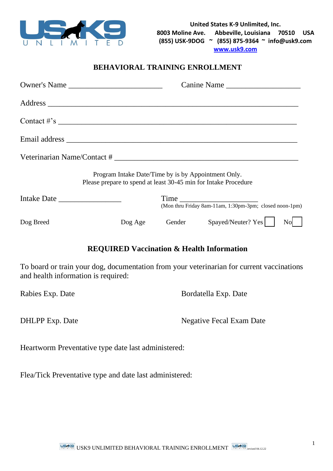

### **BEHAVIORAL TRAINING ENROLLMENT**

| Owner's Name    |                                                     | Canine Name                                                     |
|-----------------|-----------------------------------------------------|-----------------------------------------------------------------|
|                 |                                                     |                                                                 |
| Contact $\#$ 's |                                                     |                                                                 |
|                 |                                                     |                                                                 |
|                 |                                                     |                                                                 |
|                 | Program Intake Date/Time by is by Appointment Only. | Please prepare to spend at least 30-45 min for Intake Procedure |
| Intake Date     |                                                     | (Mon thru Friday 8am-11am, 1:30pm-3pm; closed noon-1pm)         |
| Dog Breed       | Dog Age                                             | Gender Spayed/Neuter? Yes<br>No                                 |

## **REQUIRED Vaccination & Health Information**

To board or train your dog, documentation from your veterinarian for current vaccinations and health information is required:

| Rabies Exp. Date       | Bordatella Exp. Date     |
|------------------------|--------------------------|
| <b>DHLPP</b> Exp. Date | Negative Fecal Exam Date |

Heartworm Preventative type date last administered:

Flea/Tick Preventative type and date last administered: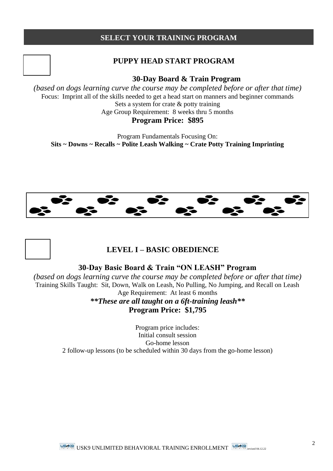### **SELECT YOUR TRAINING PROGRAM**

## **PUPPY HEAD START PROGRAM**

**30-Day Board & Train Program**

*(based on dogs learning curve the course may be completed before or after that time)* Focus: Imprint all of the skills needed to get a head start on manners and beginner commands Sets a system for crate & potty training Age Group Requirement: 8 weeks thru 5 months **Program Price: \$895**

Program Fundamentals Focusing On: **Sits ~ Downs ~ Recalls ~ Polite Leash Walking ~ Crate Potty Training Imprinting**





## **LEVEL I – BASIC OBEDIENCE**

**30-Day Basic Board & Train "ON LEASH" Program**

*(based on dogs learning curve the course may be completed before or after that time)* Training Skills Taught: Sit, Down, Walk on Leash, No Pulling, No Jumping, and Recall on Leash Age Requirement: At least 6 months

*\*\*These are all taught on a 6ft-training leash\*\** **Program Price: \$1,795**

Program price includes: Initial consult session Go-home lesson 2 follow-up lessons (to be scheduled within 30 days from the go-home lesson)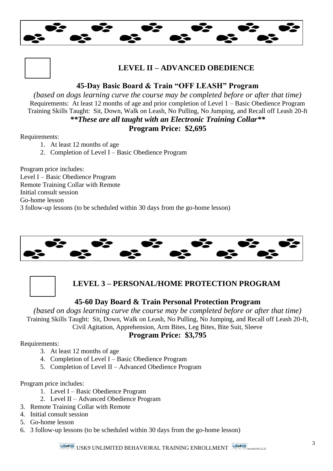

## **LEVEL II – ADVANCED OBEDIENCE**

### **45-Day Basic Board & Train "OFF LEASH" Program**

*(based on dogs learning curve the course may be completed before or after that time)* Requirements: At least 12 months of age and prior completion of Level 1 – Basic Obedience Program Training Skills Taught: Sit, Down, Walk on Leash, No Pulling, No Jumping, and Recall off Leash 20-ft *\*\*These are all taught with an Electronic Training Collar\*\** **Program Price: \$2,695**

Requirements:

- 1. At least 12 months of age
- 2. Completion of Level I Basic Obedience Program

Program price includes: Level I – Basic Obedience Program Remote Training Collar with Remote Initial consult session Go-home lesson 3 follow-up lessons (to be scheduled within 30 days from the go-home lesson)



## **LEVEL 3 – PERSONAL/HOME PROTECTION PROGRAM**

#### **45-60 Day Board & Train Personal Protection Program**

*(based on dogs learning curve the course may be completed before or after that time)* Training Skills Taught: Sit, Down, Walk on Leash, No Pulling, No Jumping, and Recall off Leash 20-ft, Civil Agitation, Apprehension, Arm Bites, Leg Bites, Bite Suit, Sleeve

#### **Program Price: \$3,795**

Requirements:

- 3. At least 12 months of age
- 4. Completion of Level I Basic Obedience Program
- 5. Completion of Level II Advanced Obedience Program

Program price includes:

- 1. Level I Basic Obedience Program
- 2. Level II Advanced Obedience Program
- 3. Remote Training Collar with Remote
- 4. Initial consult session
- 5. Go-home lesson
- 6. 3 follow-up lessons (to be scheduled within 30 days from the go-home lesson)

USK9 UNLIMITED BEHAVIORAL TRAINING ENROLLMENT USK9 revised 04.12.22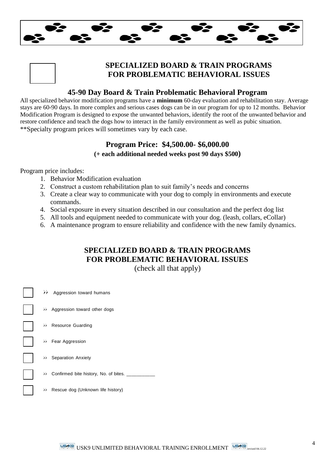



## **SPECIALIZED BOARD & TRAIN PROGRAMS FOR PROBLEMATIC BEHAVIORAL ISSUES**

#### **45-90 Day Board & Train Problematic Behavioral Program**

All specialized behavior modification programs have a **minimum** 60-day evaluation and rehabilitation stay. Average stays are 60-90 days. In more complex and serious cases dogs can be in our program for up to 12 months. Behavior Modification Program is designed to expose the unwanted behaviors, identify the root of the unwanted behavior and restore confidence and teach the dogs how to interact in the family environment as well as pubic situation. \*\*Specialty program prices will sometimes vary by each case.

## **Program Price: \$4,500.00- \$6,000.00**

#### **(+ each additional needed weeks post 90 days \$500)**

Program price includes:

- 1. Behavior Modification evaluation
- 2. Construct a custom rehabilitation plan to suit family's needs and concerns
- 3. Create a clear way to communicate with your dog to comply in environments and execute commands.
- 4. Social exposure in every situation described in our consultation and the perfect dog list
- 5. All tools and equipment needed to communicate with your dog. (leash, collars, eCollar)
- 6. A maintenance program to ensure reliability and confidence with the new family dynamics.

## **SPECIALIZED BOARD & TRAIN PROGRAMS FOR PROBLEMATIC BEHAVIORAL ISSUES**

(check all that apply)

|               | >> Aggression toward humans              |
|---------------|------------------------------------------|
|               | >> Aggression toward other dogs          |
|               | >> Resource Guarding                     |
|               | >> Fear Aggression                       |
|               | >> Separation Anxiety                    |
|               | >> Confirmed bite history, No. of bites. |
| $\rightarrow$ | Rescue dog (Unknown life history)        |
|               |                                          |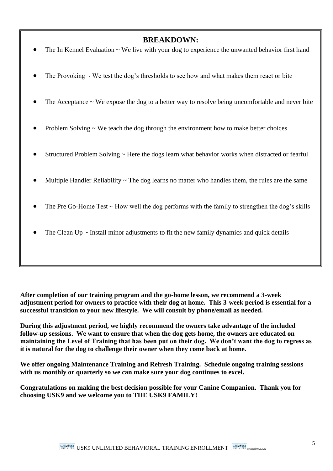## **BREAKDOWN:**

- The In Kennel Evaluation  $\sim$  We live with your dog to experience the unwanted behavior first hand
- The Provoking  $\sim$  We test the dog's thresholds to see how and what makes them react or bite
- The Acceptance  $\sim$  We expose the dog to a better way to resolve being uncomfortable and never bite
- Problem Solving  $\sim$  We teach the dog through the environment how to make better choices
- Structured Problem Solving ~ Here the dogs learn what behavior works when distracted or fearful
- Multiple Handler Reliability  $\sim$  The dog learns no matter who handles them, the rules are the same
- The Pre Go-Home Test  $\sim$  How well the dog performs with the family to strengthen the dog's skills
- The Clean  $Up \sim$  Install minor adjustments to fit the new family dynamics and quick details

**After completion of our training program and the go-home lesson, we recommend a 3-week adjustment period for owners to practice with their dog at home. This 3-week period is essential for a successful transition to your new lifestyle. We will consult by phone/email as needed.** 

**During this adjustment period, we highly recommend the owners take advantage of the included follow-up sessions. We want to ensure that when the dog gets home, the owners are educated on maintaining the Level of Training that has been put on their dog. We don't want the dog to regress as it is natural for the dog to challenge their owner when they come back at home.**

**We offer ongoing Maintenance Training and Refresh Training. Schedule ongoing training sessions with us monthly or quarterly so we can make sure your dog continues to excel.**

**Congratulations on making the best decision possible for your Canine Companion. Thank you for choosing USK9 and we welcome you to THE USK9 FAMILY!**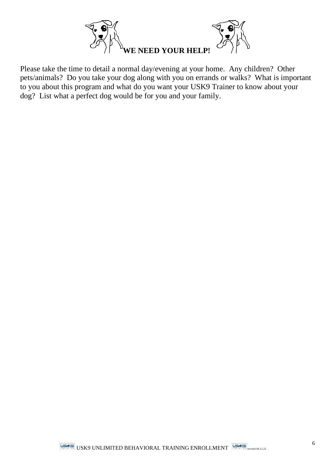

Please take the time to detail a normal day/evening at your home. Any children? Other pets/animals? Do you take your dog along with you on errands or walks? What is important to you about this program and what do you want your USK9 Trainer to know about your dog? List what a perfect dog would be for you and your family.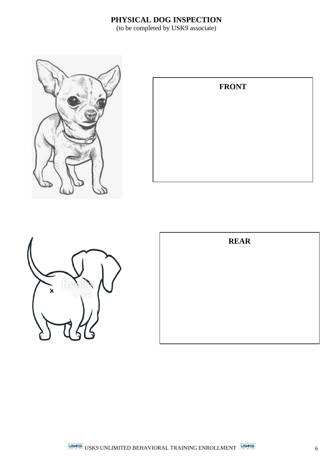# **PHYSICAL DOG INSPECTION**

(to be completed by USK9 associate)



| <b>FRONT</b> |  |
|--------------|--|
|              |  |
|              |  |
|              |  |
|              |  |



| <b>REAR</b> |
|-------------|
|             |
|             |
|             |
|             |
|             |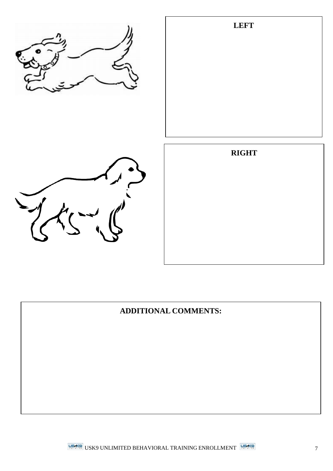

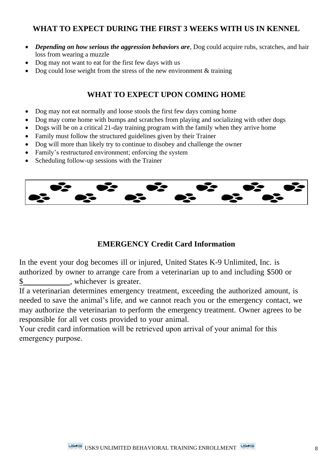### **WHAT TO EXPECT DURING THE FIRST 3 WEEKS WITH US IN KENNEL**

- *Depending on how serious the aggression behaviors are*, Dog could acquire rubs, scratches, and hair loss from wearing a muzzle
- Dog may not want to eat for the first few days with us
- Dog could lose weight from the stress of the new environment & training

### **WHAT TO EXPECT UPON COMING HOME**

- Dog may not eat normally and loose stools the first few days coming home
- Dog may come home with bumps and scratches from playing and socializing with other dogs
- Dogs will be on a critical 21-day training program with the family when they arrive home
- Family must follow the structured guidelines given by their Trainer
- Dog will more than likely try to continue to disobey and challenge the owner
- Family's restructured environment; enforcing the system
- Scheduling follow-up sessions with the Trainer



### **EMERGENCY Credit Card Information**

In the event your dog becomes ill or injured, United States K-9 Unlimited, Inc. is authorized by owner to arrange care from a veterinarian up to and including \$500 or \$\_\_\_\_\_\_\_\_\_\_\_\_, whichever is greater.

If a veterinarian determines emergency treatment, exceeding the authorized amount, is needed to save the animal's life, and we cannot reach you or the emergency contact, we may authorize the veterinarian to perform the emergency treatment. Owner agrees to be responsible for all vet costs provided to your animal.

Your credit card information will be retrieved upon arrival of your animal for this emergency purpose.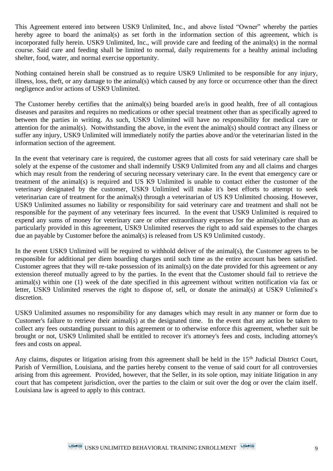This Agreement entered into between USK9 Unlimited, Inc., and above listed "Owner" whereby the parties hereby agree to board the animal(s) as set forth in the information section of this agreement, which is incorporated fully herein. USK9 Unlimited, Inc., will provide care and feeding of the animal(s) in the normal course. Said care and feeding shall be limited to normal, daily requirements for a healthy animal including shelter, food, water, and normal exercise opportunity.

Nothing contained herein shall be construed as to require USK9 Unlimited to be responsible for any injury, illness, loss, theft, or any damage to the animal(s) which caused by any force or occurrence other than the direct negligence and/or actions of USK9 Unlimited.

The Customer hereby certifies that the animal(s) being boarded are/is in good health, free of all contagious diseases and parasites and requires no medications or other special treatment other than as specifically agreed to between the parties in writing. As such, USK9 Unlimited will have no responsibility for medical care or attention for the animal(s). Notwithstanding the above, in the event the animal(s) should contract any illness or suffer any injury, USK9 Unlimited will immediately notify the parties above and/or the veterinarian listed in the information section of the agreement.

In the event that veterinary care is required, the customer agrees that all costs for said veterinary care shall be solely at the expense of the customer and shall indemnify USK9 Unlimited from any and all claims and charges which may result from the rendering of securing necessary veterinary care. In the event that emergency care or treatment of the animal(s) is required and US K9 Unlimited is unable to contact either the customer of the veterinary designated by the customer, USK9 Unlimited will make it's best efforts to attempt to seek veterinarian care of treatment for the animal(s) through a veterinarian of US K9 Unlimited choosing. However, USK9 Unlimited assumes no liability or responsibility for said veterinary care and treatment and shall not be responsible for the payment of any veterinary fees incurred. In the event that USK9 Unlimited is required to expend any sums of money for veterinary care or other extraordinary expenses for the animal(s)other than as particularly provided in this agreement, USK9 Unlimited reserves the right to add said expenses to the charges due an payable by Customer before the animal(s) is released from US K9 Unlimited custody.

In the event USK9 Unlimited will be required to withhold deliver of the animal(s), the Customer agrees to be responsible for additional per diem boarding charges until such time as the entire account has been satisfied. Customer agrees that they will re-take possession of its animal(s) on the date provided for this agreement or any extension thereof mutually agreed to by the parties. In the event that the Customer should fail to retrieve the animal(s) within one (1) week of the date specified in this agreement without written notification via fax or letter, USK9 Unlimited reserves the right to dispose of, sell, or donate the animal(s) at USK9 Unlimited's discretion.

USK9 Unlimited assumes no responsibility for any damages which may result in any manner or form due to Customer's failure to retrieve their animal(s) at the designated time. In the event that any action be taken to collect any fees outstanding pursuant to this agreement or to otherwise enforce this agreement, whether suit be brought or not, USK9 Unlimited shall be entitled to recover it's attorney's fees and costs, including attorney's fees and costs on appeal.

Any claims, disputes or litigation arising from this agreement shall be held in the 15<sup>th</sup> Judicial District Court, Parish of Vermillion, Louisiana, and the parties hereby consent to the venue of said court for all controversies arising from this agreement. Provided, however, that the Seller, in its sole option, may initiate litigation in any court that has competent jurisdiction, over the parties to the claim or suit over the dog or over the claim itself. Louisiana law is agreed to apply to this contract.